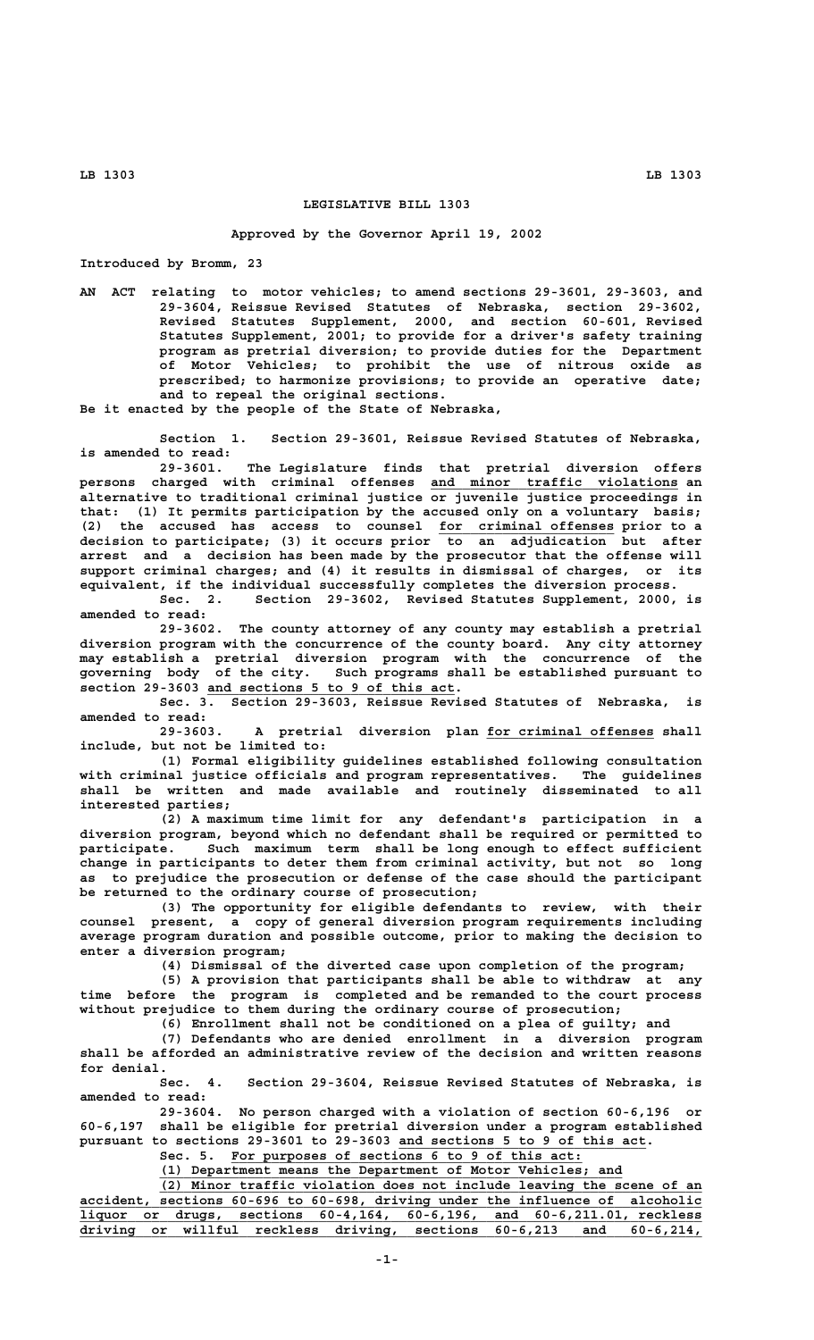## **LEGISLATIVE BILL 1303**

## **Approved by the Governor April 19, 2002**

**Introduced by Bromm, 23**

**AN ACT relating to motor vehicles; to amend sections 29-3601, 29-3603, and 29-3604, Reissue Revised Statutes of Nebraska, section 29-3602, Revised Statutes Supplement, 2000, and section 60-601, Revised Statutes Supplement, 2001; to provide for a driver's safety training program as pretrial diversion; to provide duties for the Department of Motor Vehicles; to prohibit the use of nitrous oxide as prescribed; to harmonize provisions; to provide an operative date; and to repeal the original sections.**

**Be it enacted by the people of the State of Nebraska,**

**Section 1. Section 29-3601, Reissue Revised Statutes of Nebraska, is amended to read:**

**29-3601. The Legislature finds that pretrial diversion offers \_\_\_\_\_\_\_\_\_\_\_\_\_\_\_\_\_\_\_\_\_\_\_\_\_\_\_\_\_\_\_ persons charged with criminal offenses and minor traffic violations an alternative to traditional criminal justice or juvenile justice proceedings in that: (1) It permits participation by the accused only on a voluntary basis; (2) the accused has access to counsel for criminal offenses prior to a \_\_\_\_\_\_\_\_\_\_\_\_\_\_\_\_\_\_\_\_\_\_ decision to participate; (3) it occurs prior to an adjudication but after arrest and a decision has been made by the prosecutor that the offense will support criminal charges; and (4) it results in dismissal of charges, or its equivalent, if the individual successfully completes the diversion process.**

**Sec. 2. Section 29-3602, Revised Statutes Supplement, 2000, is amended to read:**

**29-3602. The county attorney of any county may establish a pretrial diversion program with the concurrence of the county board. Any city attorney may establish a pretrial diversion program with the concurrence of the governing body of the city. Such programs shall be established pursuant to \_\_\_\_\_\_\_\_\_\_\_\_\_\_\_\_\_\_\_\_\_\_\_\_\_\_\_\_\_\_\_ section 29-3603 and sections 5 to 9 of this act.**

**Sec. 3. Section 29-3603, Reissue Revised Statutes of Nebraska, is amended to read:**

**29-3603. A pretrial diversion plan for criminal offenses shall \_\_\_\_\_\_\_\_\_\_\_\_\_\_\_\_\_\_\_\_\_ include, but not be limited to:**

**(1) Formal eligibility guidelines established following consultation with criminal justice officials and program representatives. The guidelines shall be written and made available and routinely disseminated to all interested parties;**

**(2) A maximum time limit for any defendant's participation in a diversion program, beyond which no defendant shall be required or permitted to participate. Such maximum term shall be long enough to effect sufficient change in participants to deter them from criminal activity, but not so long as to prejudice the prosecution or defense of the case should the participant be returned to the ordinary course of prosecution;**

**(3) The opportunity for eligible defendants to review, with their counsel present, a copy of general diversion program requirements including average program duration and possible outcome, prior to making the decision to enter a diversion program;**

**(4) Dismissal of the diverted case upon completion of the program;**

**(5) A provision that participants shall be able to withdraw at any time before the program is completed and be remanded to the court process without prejudice to them during the ordinary course of prosecution;**

**(6) Enrollment shall not be conditioned on a plea of guilty; and**

**(7) Defendants who are denied enrollment in a diversion program shall be afforded an administrative review of the decision and written reasons for denial.**

**Sec. 4. Section 29-3604, Reissue Revised Statutes of Nebraska, is amended to read:**

**29-3604. No person charged with a violation of section 60-6,196 or 60-6,197 shall be eligible for pretrial diversion under a program established** pursuant to sections 29-3601 to 29-3603 and sections 5 to 9 of this act.

Sec. 5. For purposes of sections 6 to 9 of this act:

 **\_\_\_\_\_\_\_\_\_\_\_\_\_\_\_\_\_\_\_\_\_\_\_\_\_\_\_\_\_\_\_\_\_\_\_\_\_\_\_\_\_\_\_\_\_\_\_\_\_\_\_\_\_\_\_\_\_\_ (1) Department means the Department of Motor Vehicles; and \_\_\_\_\_\_\_\_\_\_\_\_\_\_\_\_\_\_\_\_\_\_\_\_\_\_\_\_\_\_\_\_\_\_\_\_\_\_\_\_\_\_\_\_\_\_\_\_\_\_\_\_\_\_\_\_\_\_\_\_\_\_\_\_\_\_\_\_ (2) Minor traffic violation does not include leaving the scene of an \_\_\_\_\_\_\_\_\_\_\_\_\_\_\_\_\_\_\_\_\_\_\_\_\_\_\_\_\_\_\_\_\_\_\_\_\_\_\_\_\_\_\_\_\_\_\_\_\_\_\_\_\_\_\_\_\_\_\_\_\_\_\_\_\_\_\_\_\_\_\_\_\_\_\_\_\_\_ accident, sections 60-696 to 60-698, driving under the influence of alcoholic \_\_\_\_\_\_\_\_\_\_\_\_\_\_\_\_\_\_\_\_\_\_\_\_\_\_\_\_\_\_\_\_\_\_\_\_\_\_\_\_\_\_\_\_\_\_\_\_\_\_\_\_\_\_\_\_\_\_\_\_\_\_\_\_\_\_\_\_\_\_\_\_\_\_\_\_\_\_ liquor or drugs, sections 60-4,164, 60-6,196, and 60-6,211.01, reckless \_\_\_\_\_\_\_\_\_\_\_\_\_\_\_\_\_\_\_\_\_\_\_\_\_\_\_\_\_\_\_\_\_\_\_\_\_\_\_\_\_\_\_\_\_\_\_\_\_\_\_\_\_\_\_\_\_\_\_\_\_\_\_\_\_\_\_\_\_\_\_\_\_\_\_\_\_\_ driving or willful reckless driving, sections 60-6,213 and 60-6,214,**